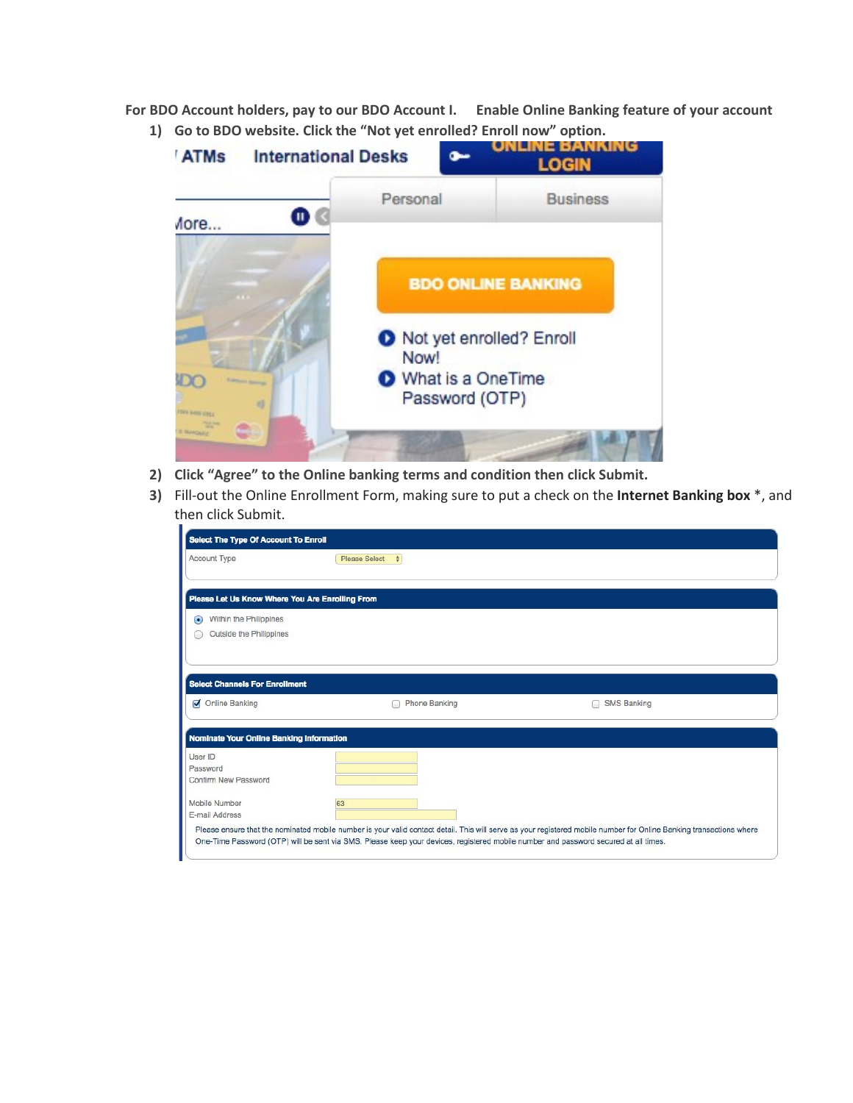**For BDO Account holders, pay to our BDO Account I. Enable Online Banking feature of your account** 



- **2) Click "Agree" to the Online banking terms and condition then click Submit.**
- **3)** Fill-out the Online Enrollment Form, making sure to put a check on the **Internet Banking box** \*, and then click Submit.

| Select The Type Of Account To Enroll            |                                                                                                                                     |                                                                                                                                                                     |
|-------------------------------------------------|-------------------------------------------------------------------------------------------------------------------------------------|---------------------------------------------------------------------------------------------------------------------------------------------------------------------|
| <b>Account Type</b>                             | <b>Please Select</b><br>$\div$                                                                                                      |                                                                                                                                                                     |
|                                                 |                                                                                                                                     |                                                                                                                                                                     |
| Please Let Us Know Where You Are Enrolling From |                                                                                                                                     |                                                                                                                                                                     |
| Within the Philippines<br>$\bullet$             |                                                                                                                                     |                                                                                                                                                                     |
| Outside the Philippines                         |                                                                                                                                     |                                                                                                                                                                     |
|                                                 |                                                                                                                                     |                                                                                                                                                                     |
|                                                 |                                                                                                                                     |                                                                                                                                                                     |
| <b>Select Channels For Enrollment</b>           |                                                                                                                                     |                                                                                                                                                                     |
| Online Banking                                  | <b>Phone Banking</b>                                                                                                                | <b>SMS Banking</b>                                                                                                                                                  |
|                                                 |                                                                                                                                     |                                                                                                                                                                     |
| <b>Nominate Your Online Banking Information</b> |                                                                                                                                     |                                                                                                                                                                     |
| User ID                                         |                                                                                                                                     |                                                                                                                                                                     |
| Password                                        |                                                                                                                                     |                                                                                                                                                                     |
| Confirm New Password                            |                                                                                                                                     |                                                                                                                                                                     |
| Mobile Number                                   | 63                                                                                                                                  |                                                                                                                                                                     |
| E-mail Address                                  |                                                                                                                                     |                                                                                                                                                                     |
|                                                 |                                                                                                                                     | Please ensure that the nominated mobile number is your valid contact detail. This will serve as your registered mobile number for Online Banking transactions where |
|                                                 | One-Time Password (OTP) will be sent via SMS. Please keep your devices, registered mobile number and password secured at all times. |                                                                                                                                                                     |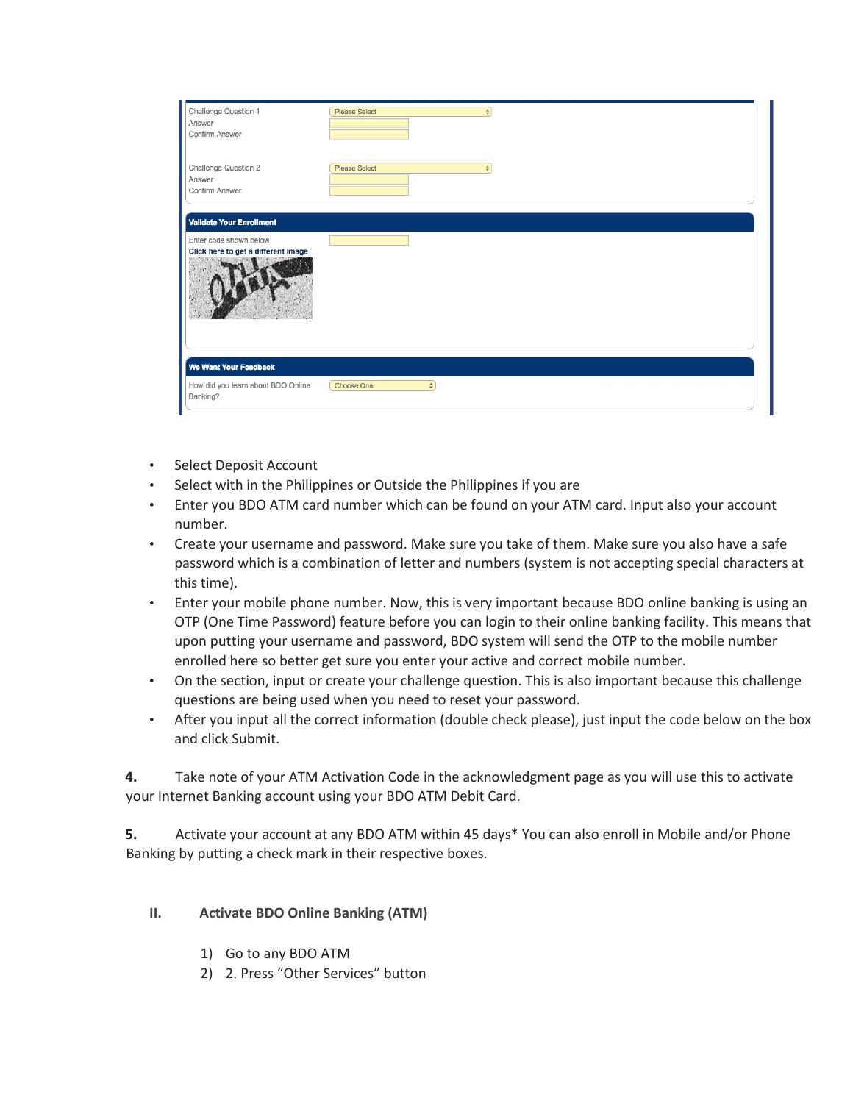| Challenge Question 1                           | <b>Please Select</b><br>٠      |  |
|------------------------------------------------|--------------------------------|--|
| Answer                                         |                                |  |
| Confirm Answer                                 |                                |  |
|                                                |                                |  |
| Challenge Question 2                           | <b>Please Select</b><br>$\div$ |  |
| Answer                                         |                                |  |
| Confirm Answer                                 |                                |  |
| <b>Validate Your Enrollment</b>                |                                |  |
| Enter code shown below                         |                                |  |
| Click here to get a different image            |                                |  |
|                                                |                                |  |
|                                                |                                |  |
| We Want Your Feedback                          |                                |  |
| How did you learn about BDO Online<br>Banking? | Choose One<br>$\bullet$        |  |
|                                                |                                |  |

- Select Deposit Account
- Select with in the Philippines or Outside the Philippines if you are
- Enter you BDO ATM card number which can be found on your ATM card. Input also your account number.
- Create your username and password. Make sure you take of them. Make sure you also have a safe password which is a combination of letter and numbers (system is not accepting special characters at this time).
- Enter your mobile phone number. Now, this is very important because BDO online banking is using an OTP (One Time Password) feature before you can login to their online banking facility. This means that upon putting your username and password, BDO system will send the OTP to the mobile number enrolled here so better get sure you enter your active and correct mobile number.
- On the section, input or create your challenge question. This is also important because this challenge questions are being used when you need to reset your password.
- After you input all the correct information (double check please), just input the code below on the box and click Submit.

**4.** Take note of your ATM Activation Code in the acknowledgment page as you will use this to activate your Internet Banking account using your BDO ATM Debit Card.

**5.** Activate your account at any BDO ATM within 45 days\* You can also enroll in Mobile and/or Phone Banking by putting a check mark in their respective boxes.

- **II. Activate BDO Online Banking (ATM)** 
	- 1) Go to any BDO ATM
	- 2) 2. Press "Other Services" button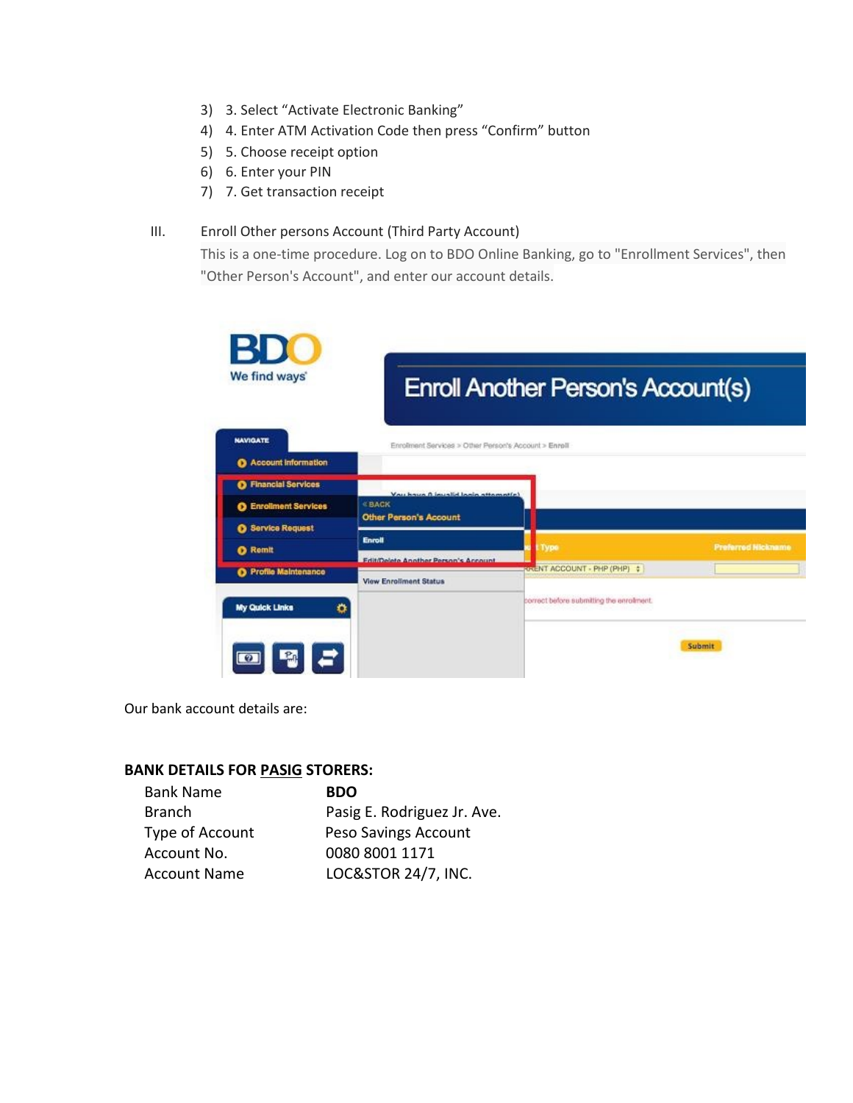- 3) 3. Select "Activate Electronic Banking"
- 4) 4. Enter ATM Activation Code then press "Confirm" button
- 5) 5. Choose receipt option
- 6) 6. Enter your PIN
- 7) 7. Get transaction receipt

#### III. Enroll Other persons Account (Third Party Account)

This is a one-time procedure. Log on to BDO Online Banking, go to "Enrollment Services", then "Other Person's Account", and enter our account details.

| <b>BDC</b><br>We find ways'  |                                                      | <b>Enroll Another Person's Account(s)</b> |                           |
|------------------------------|------------------------------------------------------|-------------------------------------------|---------------------------|
| <b>NAVIGATE</b>              | Enrolment Services > Other Person's Account > Enroll |                                           |                           |
| Account Information          |                                                      |                                           |                           |
| <b>O</b> Financial Services  |                                                      |                                           |                           |
| <b>O</b> Enrollment Services | Vou have 0 invalid login attomptich<br><b>« BACK</b> |                                           |                           |
| <b>8</b> Service Request     | <b>Other Person's Account</b>                        |                                           |                           |
| <b>O</b> Remit               | <b>Enroll</b>                                        | Type                                      | <b>Preferred Nickname</b> |
| <b>O</b> Profile Maintenance | <b>Edit/Delete Another Person's Account.</b>         | <b>RELENT ACCOUNT - PHP (PHP) :</b>       |                           |
|                              | <b>View Enrollment Status</b>                        |                                           |                           |
| My Quick Links<br>۰          |                                                      | correct before submitting the enrolment.  |                           |
|                              |                                                      |                                           | Submit                    |

Our bank account details are:

#### **BANK DETAILS FOR PASIG STORERS:**

| <b>Bank Name</b>    | <b>BDO</b>                  |
|---------------------|-----------------------------|
| <b>Branch</b>       | Pasig E. Rodriguez Jr. Ave. |
| Type of Account     | Peso Savings Account        |
| Account No.         | 0080 8001 1171              |
| <b>Account Name</b> | LOC&STOR 24/7, INC.         |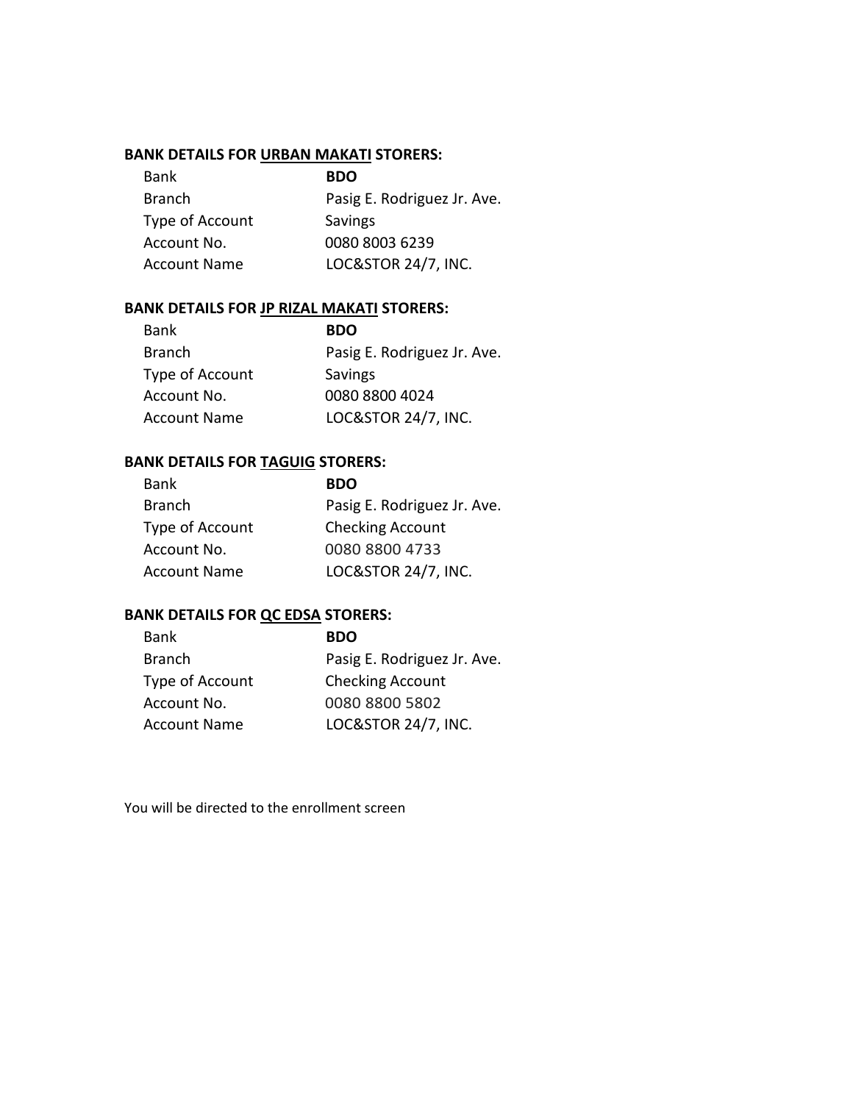## **BANK DETAILS FOR URBAN MAKATI STORERS:**

| <b>Bank</b>         | <b>BDO</b>                     |
|---------------------|--------------------------------|
| <b>Branch</b>       | Pasig E. Rodriguez Jr. Ave.    |
| Type of Account     | Savings                        |
| Account No.         | 0080 8003 6239                 |
| <b>Account Name</b> | <b>LOC&amp;STOR 24/7, INC.</b> |

## **BANK DETAILS FOR JP RIZAL MAKATI STORERS:**

| <b>Bank</b>         | <b>BDO</b>                  |
|---------------------|-----------------------------|
| <b>Branch</b>       | Pasig E. Rodriguez Jr. Ave. |
| Type of Account     | Savings                     |
| Account No.         | 0080 8800 4024              |
| <b>Account Name</b> | LOC&STOR 24/7, INC.         |

# **BANK DETAILS FOR TAGUIG STORERS:**

| <b>BDO</b>                     |
|--------------------------------|
| Pasig E. Rodriguez Jr. Ave.    |
| <b>Checking Account</b>        |
| 0080 8800 4733                 |
| <b>LOC&amp;STOR 24/7, INC.</b> |
|                                |

## **BANK DETAILS FOR QC EDSA STORERS:**

| <b>BDO</b>                  |
|-----------------------------|
| Pasig E. Rodriguez Jr. Ave. |
| <b>Checking Account</b>     |
| 0080 8800 5802              |
| LOC&STOR 24/7, INC.         |
|                             |

You will be directed to the enrollment screen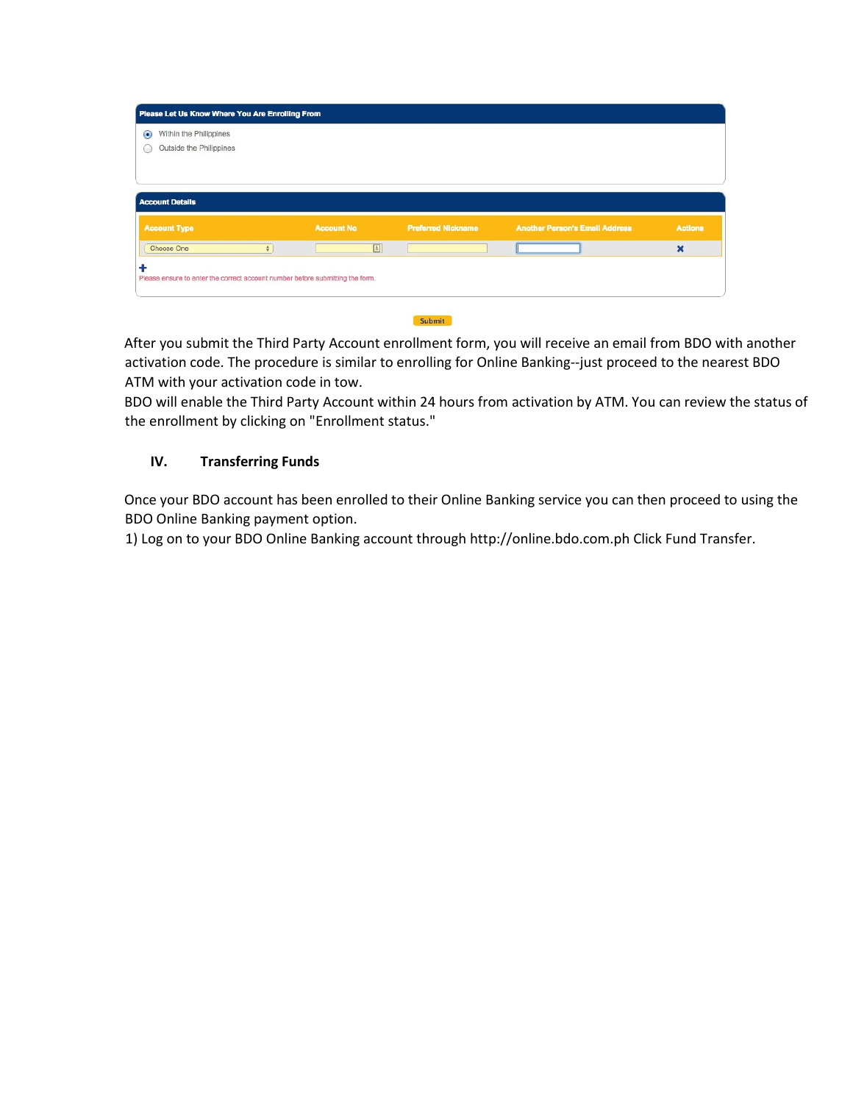| Outside the Philippines                       |   |                   |                           |                                       |                |
|-----------------------------------------------|---|-------------------|---------------------------|---------------------------------------|----------------|
| <b>Account Details</b><br><b>Account Type</b> |   | <b>Account No</b> | <b>Preferred Nickname</b> | <b>Another Person's Email Address</b> | <b>Actions</b> |
| Choose One                                    | ÷ | 回                 |                           |                                       | $\mathbf x$    |

After you submit the Third Party Account enrollment form, you will receive an email from BDO with another activation code. The procedure is similar to enrolling for Online Banking--just proceed to the nearest BDO ATM with your activation code in tow.

BDO will enable the Third Party Account within 24 hours from activation by ATM. You can review the status of the enrollment by clicking on "Enrollment status."

## **IV. Transferring Funds**

Once your BDO account has been enrolled to their Online Banking service you can then proceed to using the BDO Online Banking payment option.

1) Log on to your BDO Online Banking account through [http://online.bdo.com.ph](http://online.bdo.com.ph/) Click Fund Transfer.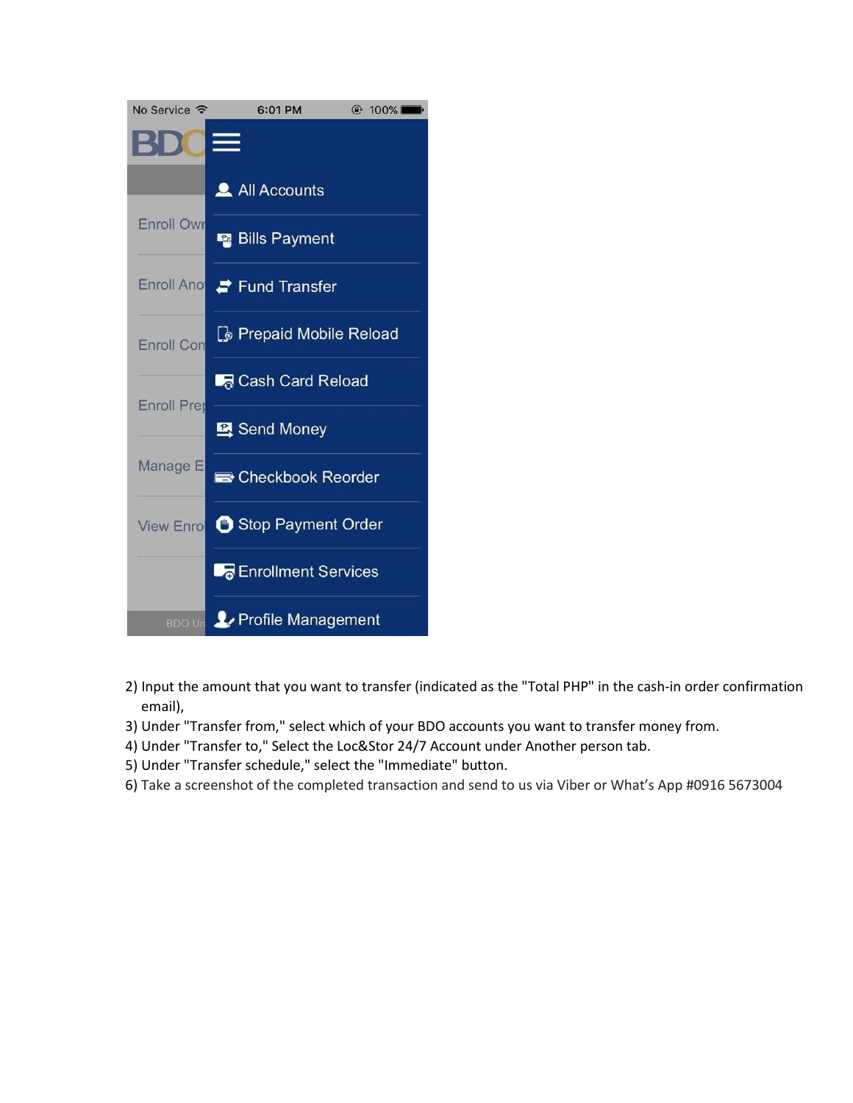

- 2) Input the amount that you want to transfer (indicated as the "Total PHP" in the cash-in order confirmation email),
- 3) Under "Transfer from," select which of your BDO accounts you want to transfer money from.
- 4) Under "Transfer to," Select the Loc&Stor 24/7 Account under Another person tab.
- 5) Under "Transfer schedule," select the "Immediate" button.
- 6) Take a screenshot of the completed transaction and send to us via Viber or What's App #0916 5673004